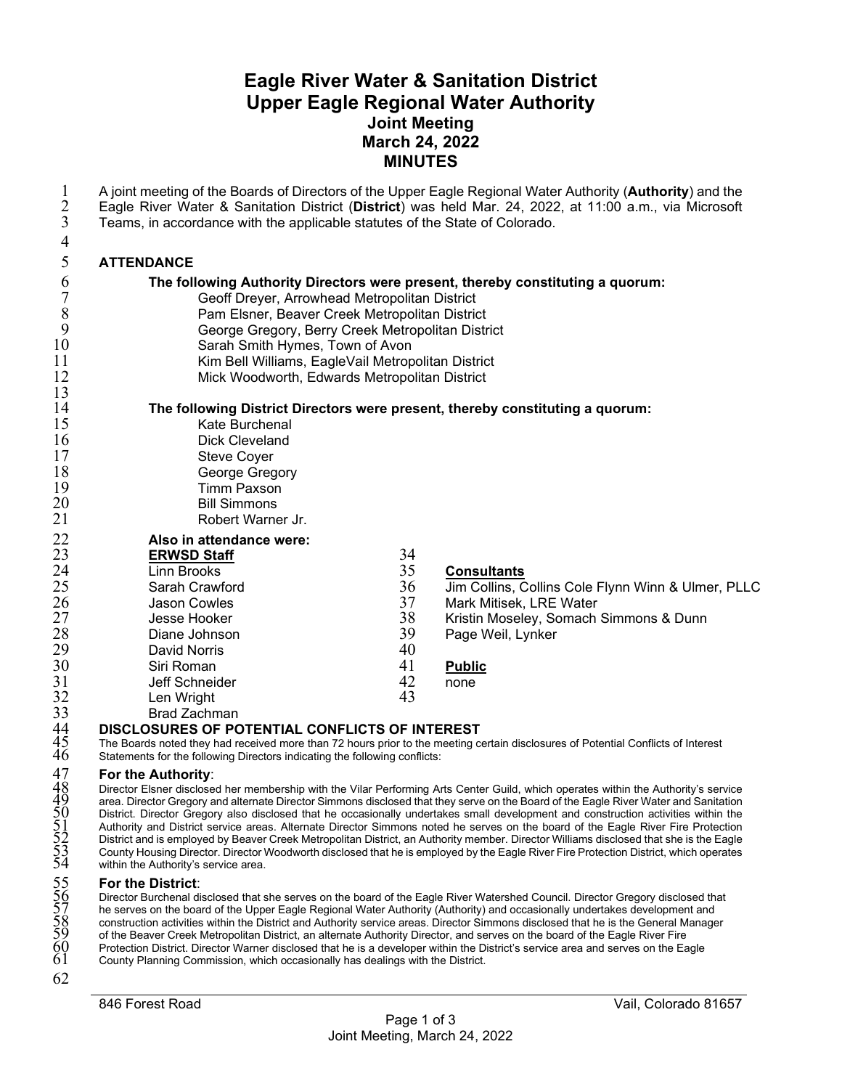# **Eagle River Water & Sanitation District Upper Eagle Regional Water Authority Joint Meeting March 24, 2022 MINUTES**

| $\mathbf{1}$<br>$\frac{2}{3}$ | A joint meeting of the Boards of Directors of the Upper Eagle Regional Water Authority (Authority) and the<br>Eagle River Water & Sanitation District (District) was held Mar. 24, 2022, at 11:00 a.m., via Microsoft<br>Teams, in accordance with the applicable statutes of the State of Colorado. |          |                                                    |
|-------------------------------|------------------------------------------------------------------------------------------------------------------------------------------------------------------------------------------------------------------------------------------------------------------------------------------------------|----------|----------------------------------------------------|
| 4                             |                                                                                                                                                                                                                                                                                                      |          |                                                    |
| $\mathfrak s$                 | <b>ATTENDANCE</b>                                                                                                                                                                                                                                                                                    |          |                                                    |
| 6                             | The following Authority Directors were present, thereby constituting a quorum:                                                                                                                                                                                                                       |          |                                                    |
| $\overline{7}$                | Geoff Dreyer, Arrowhead Metropolitan District                                                                                                                                                                                                                                                        |          |                                                    |
| $\,8\,$                       | Pam Elsner, Beaver Creek Metropolitan District                                                                                                                                                                                                                                                       |          |                                                    |
| 9<br>10                       | George Gregory, Berry Creek Metropolitan District                                                                                                                                                                                                                                                    |          |                                                    |
| 11                            | Sarah Smith Hymes, Town of Avon<br>Kim Bell Williams, EagleVail Metropolitan District                                                                                                                                                                                                                |          |                                                    |
| 12                            | Mick Woodworth, Edwards Metropolitan District                                                                                                                                                                                                                                                        |          |                                                    |
| 13                            |                                                                                                                                                                                                                                                                                                      |          |                                                    |
| 14                            | The following District Directors were present, thereby constituting a quorum:                                                                                                                                                                                                                        |          |                                                    |
| 15                            | Kate Burchenal                                                                                                                                                                                                                                                                                       |          |                                                    |
| 16                            | <b>Dick Cleveland</b>                                                                                                                                                                                                                                                                                |          |                                                    |
| 17                            | <b>Steve Coyer</b>                                                                                                                                                                                                                                                                                   |          |                                                    |
| 18<br>19                      | George Gregory<br><b>Timm Paxson</b>                                                                                                                                                                                                                                                                 |          |                                                    |
| 20                            | <b>Bill Simmons</b>                                                                                                                                                                                                                                                                                  |          |                                                    |
| 21                            | Robert Warner Jr.                                                                                                                                                                                                                                                                                    |          |                                                    |
| 22                            | Also in attendance were:                                                                                                                                                                                                                                                                             |          |                                                    |
| 23                            | <b>ERWSD Staff</b>                                                                                                                                                                                                                                                                                   | 34       |                                                    |
| 24                            | <b>Linn Brooks</b>                                                                                                                                                                                                                                                                                   | 35       | <b>Consultants</b>                                 |
| 25                            | Sarah Crawford                                                                                                                                                                                                                                                                                       | 36       | Jim Collins, Collins Cole Flynn Winn & Ulmer, PLLC |
| 26                            | Jason Cowles                                                                                                                                                                                                                                                                                         | 37       | Mark Mitisek, LRE Water                            |
| 27                            | Jesse Hooker                                                                                                                                                                                                                                                                                         | 38       | Kristin Moseley, Somach Simmons & Dunn             |
| 28                            | Diane Johnson                                                                                                                                                                                                                                                                                        | 39       | Page Weil, Lynker                                  |
| 29                            | <b>David Norris</b>                                                                                                                                                                                                                                                                                  | 40       |                                                    |
| 30                            | Siri Roman                                                                                                                                                                                                                                                                                           | 41<br>42 | <b>Public</b>                                      |
| 31<br>32                      | Jeff Schneider<br>Len Wright                                                                                                                                                                                                                                                                         | 43       | none                                               |
| 33                            | <b>Brad Zachman</b>                                                                                                                                                                                                                                                                                  |          |                                                    |
|                               | DISCLOSURES OF POTENTIAL CONFLICTS OF INTEREST                                                                                                                                                                                                                                                       |          |                                                    |
| $^{44}_{45}$<br>$^{45}_{46}$  | The Boards noted they had received more than 72 hours prior to the meeting certain disclosures of Potential Conflicts of Interest                                                                                                                                                                    |          |                                                    |
|                               | Statements for the following Directors indicating the following conflicts:                                                                                                                                                                                                                           |          |                                                    |
| 47<br>$\overline{4}8$         | For the Authority:                                                                                                                                                                                                                                                                                   |          |                                                    |
|                               | Director Elsner disclosed her membership with the Vilar Performing Arts Center Guild, which operates within the Authority's service<br>area. Director Gregory and alternate Director Simmons disclosed that they serve on the Board of the Eagle River Water and Sanitation                          |          |                                                    |
|                               | District. Director Gregory also disclosed that he occasionally undertakes small development and construction activities within the                                                                                                                                                                   |          |                                                    |
|                               | Authority and District service areas. Alternate Director Simmons noted he serves on the board of the Eagle River Fire Protection<br>District and is employed by Beaver Creek Metropolitan District, an Authority member. Director Williams disclosed that she is the Eagle                           |          |                                                    |
|                               | County Housing Director. Director Woodworth disclosed that he is employed by the Eagle River Fire Protection District, which operates                                                                                                                                                                |          |                                                    |
|                               | within the Authority's service area.                                                                                                                                                                                                                                                                 |          |                                                    |
|                               | For the District:                                                                                                                                                                                                                                                                                    |          |                                                    |
|                               | Director Burchenal disclosed that she serves on the board of the Eagle River Watershed Council. Director Gregory disclosed that<br>he serves on the board of the Upper Eagle Regional Water Authority (Authority) and occasionally undertakes development and                                        |          |                                                    |
|                               | construction activities within the District and Authority service areas. Director Simmons disclosed that he is the General Manager                                                                                                                                                                   |          |                                                    |
|                               | of the Beaver Creek Metropolitan District, an alternate Authority Director, and serves on the board of the Eagle River Fire<br>Protection District. Director Warner disclosed that he is a developer within the District's service area and serves on the Eagle                                      |          |                                                    |
| 455555566789001               | County Planning Commission, which occasionally has dealings with the District.                                                                                                                                                                                                                       |          |                                                    |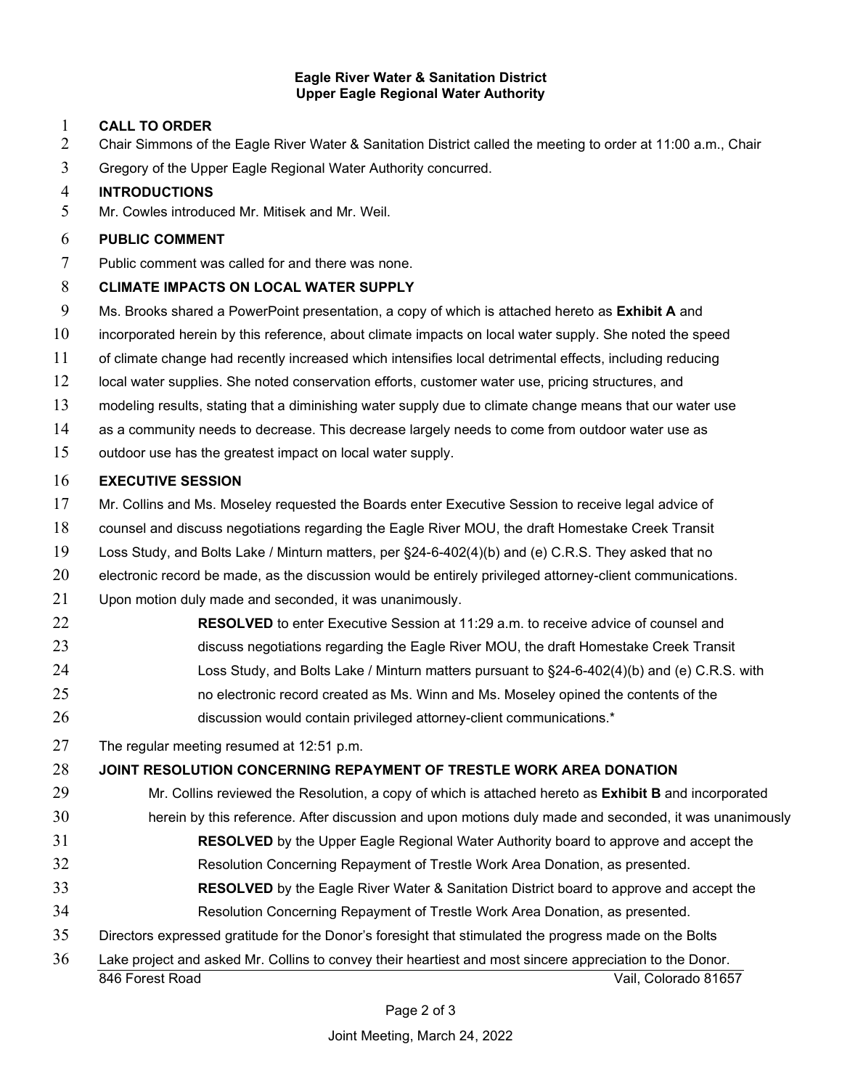#### **Eagle River Water & Sanitation District Upper Eagle Regional Water Authority**

#### **CALL TO ORDER**

- 2 Chair Simmons of the Eagle River Water & Sanitation District called the meeting to order at 11:00 a.m., Chair
- Gregory of the Upper Eagle Regional Water Authority concurred.

#### **INTRODUCTIONS**

Mr. Cowles introduced Mr. Mitisek and Mr. Weil.

### **PUBLIC COMMENT**

Public comment was called for and there was none.

### **CLIMATE IMPACTS ON LOCAL WATER SUPPLY**

- Ms. Brooks shared a PowerPoint presentation, a copy of which is attached hereto as **Exhibit A** and
- incorporated herein by this reference, about climate impacts on local water supply. She noted the speed
- of climate change had recently increased which intensifies local detrimental effects, including reducing
- 12 local water supplies. She noted conservation efforts, customer water use, pricing structures, and
- modeling results, stating that a diminishing water supply due to climate change means that our water use
- as a community needs to decrease. This decrease largely needs to come from outdoor water use as
- outdoor use has the greatest impact on local water supply.

### **EXECUTIVE SESSION**

- Mr. Collins and Ms. Moseley requested the Boards enter Executive Session to receive legal advice of
- counsel and discuss negotiations regarding the Eagle River MOU, the draft Homestake Creek Transit
- Loss Study, and Bolts Lake / Minturn matters, per §24-6-402(4)(b) and (e) C.R.S. They asked that no
- electronic record be made, as the discussion would be entirely privileged attorney-client communications.
- Upon motion duly made and seconded, it was unanimously.
- **RESOLVED** to enter Executive Session at 11:29 a.m. to receive advice of counsel and discuss negotiations regarding the Eagle River MOU, the draft Homestake Creek Transit Loss Study, and Bolts Lake / Minturn matters pursuant to §24-6-402(4)(b) and (e) C.R.S. with no electronic record created as Ms. Winn and Ms. Moseley opined the contents of the 26 discussion would contain privileged attorney-client communications.\*
- The regular meeting resumed at 12:51 p.m.

## **JOINT RESOLUTION CONCERNING REPAYMENT OF TRESTLE WORK AREA DONATION**

- Mr. Collins reviewed the Resolution, a copy of which is attached hereto as **Exhibit B** and incorporated herein by this reference. After discussion and upon motions duly made and seconded, it was unanimously
- **RESOLVED** by the Upper Eagle Regional Water Authority board to approve and accept the
- Resolution Concerning Repayment of Trestle Work Area Donation, as presented.
- **RESOLVED** by the Eagle River Water & Sanitation District board to approve and accept the Resolution Concerning Repayment of Trestle Work Area Donation, as presented.
- Directors expressed gratitude for the Donor's foresight that stimulated the progress made on the Bolts
- 846 Forest Road Vail, Colorado 81657 Lake project and asked Mr. Collins to convey their heartiest and most sincere appreciation to the Donor.

Page 2 of 3

Joint Meeting, March 24, 2022